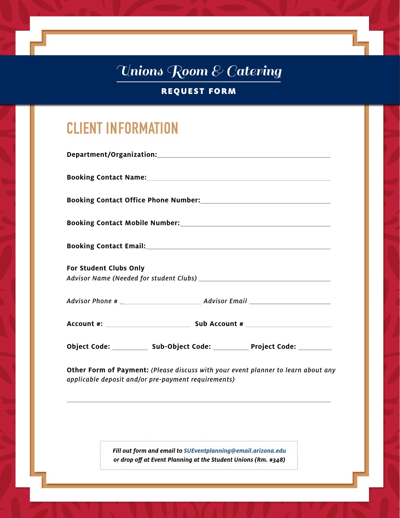REQUEST FORM

# **CLIENT INFORMATION**

|  |                        | Booking Contact Name: Name and South Article of the Contract of the Contract of the Contract of the Contract of the Contract of the Contract of the Contract of the Contract of the Contract of the Contract of the Contract o |                                                                                                     |  |
|--|------------------------|--------------------------------------------------------------------------------------------------------------------------------------------------------------------------------------------------------------------------------|-----------------------------------------------------------------------------------------------------|--|
|  |                        |                                                                                                                                                                                                                                | Booking Contact Office Phone Number: Management Control of the Booking Contact Office Phone Number: |  |
|  |                        |                                                                                                                                                                                                                                |                                                                                                     |  |
|  |                        |                                                                                                                                                                                                                                |                                                                                                     |  |
|  | For Student Clubs Only |                                                                                                                                                                                                                                |                                                                                                     |  |
|  |                        |                                                                                                                                                                                                                                |                                                                                                     |  |
|  |                        |                                                                                                                                                                                                                                |                                                                                                     |  |
|  |                        |                                                                                                                                                                                                                                | Object Code: _____________ Sub-Object Code: ____________ Project Code: _________                    |  |
|  |                        | applicable deposit and/or pre-payment requirements)                                                                                                                                                                            | Other Form of Payment: (Please discuss with your event planner to learn about any                   |  |
|  |                        | Fill out form and email to SUEventplanning@email.arizona.edu<br>or drop off at Event Planning at the Student Unions (Rm. #348)                                                                                                 |                                                                                                     |  |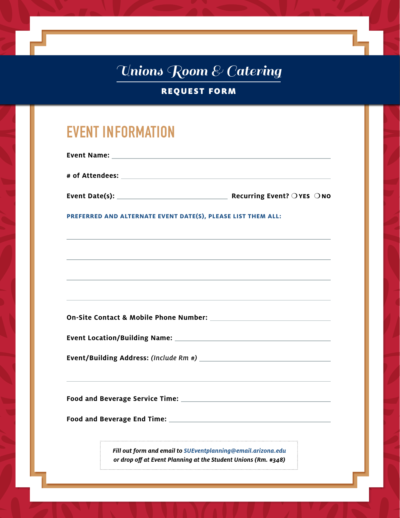REQUEST FORM

## **EVENT INFORMATION**

| <b>Event Name:</b> |                                               |
|--------------------|-----------------------------------------------|
| # of Attendees:    |                                               |
| Event Date(s):     | Recurring Event? $\bigcirc$ YES $\bigcirc$ NO |

**PREFERRED AND ALTERNATE EVENT DATE(S), PLEASE LIST THEM ALL:** 

**On-Site Contact & Mobile Phone Number:** 

**Event Location/Building Name:** 

**Event/Building Address:** *(Include Rm #)*

**Food and Beverage Service Time:** 

**Food and Beverage End Time:** 

*Fill out form and email to SUEventplanning@email.arizona.edu or drop off at Event Planning at the Student Unions (Rm. #348)*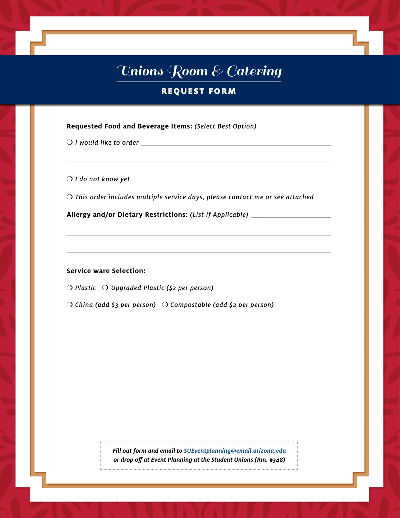### REQUEST FORM

#### **Requested Food and Beverage Items:** *(Select Best Option)*

❍ *I would like to order* 

❍ *I do not know yet*

❍ *This order includes multiple service days, please contact me or see attached* 

**Allergy and/or Dietary Restrictions:** *(List If Applicable)*

#### **Service ware Selection:**

❍ *Plastic* ❍ *Upgraded Plastic (\$2 per person)* 

❍ *China (add \$3 per person)* ❍ *Compostable (add \$2 per person)*

*Fill out form and email to SUEventplanning@email.arizona.edu or drop off at Event Planning at the Student Unions (Rm. #348)*